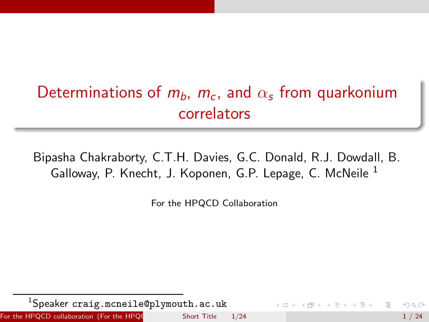# Determinations of  $m_b$ ,  $m_c$ , and  $\alpha_s$  from quarkonium correlators

Bipasha Chakraborty, C.T.H. Davies, G.C. Donald, R.J. Dowdall, B. Galloway, P. Knecht, J. Koponen, G.P. Lepage, C. McNeile <sup>1</sup>

<span id="page-0-0"></span>For the HPQCD Collaboration

<sup>1</sup>Speaker craig.mcneile@plymouth.ac.uk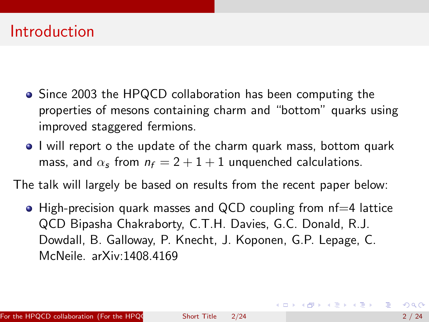## **Introduction**

- Since 2003 the HPQCD collaboration has been computing the properties of mesons containing charm and "bottom" quarks using improved staggered fermions.
- I will report o the update of the charm quark mass, bottom quark mass, and  $\alpha_s$  from  $n_f = 2 + 1 + 1$  unquenched calculations.

The talk will largely be based on results from the recent paper below:

 $\bullet$  High-precision quark masses and QCD coupling from nf=4 lattice QCD Bipasha Chakraborty, C.T.H. Davies, G.C. Donald, R.J. Dowdall, B. Galloway, P. Knecht, J. Koponen, G.P. Lepage, C. McNeile. arXiv:1408.4169

**KOD KAD KED KED E VOOR**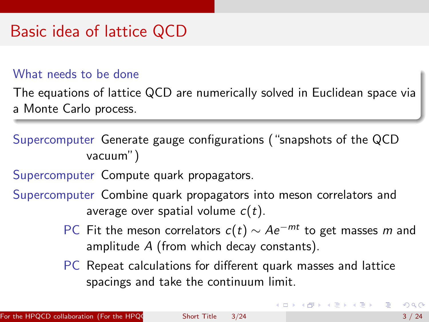# Basic idea of lattice QCD

#### What needs to be done

The equations of lattice QCD are numerically solved in Euclidean space via a Monte Carlo process.

Supercomputer Generate gauge configurations ("snapshots of the QCD vacuum")

Supercomputer Compute quark propagators.

Supercomputer Combine quark propagators into meson correlators and average over spatial volume  $c(t)$ .

- PC Fit the meson correlators  $c(t) \sim Ae^{-mt}$  to get masses m and amplitude A (from which decay constants).
- PC Repeat calculations for different quark masses and lattice spacings and take the continuum limit.

 $A \cup B \rightarrow A \oplus B \rightarrow A \oplus B \rightarrow A \oplus B$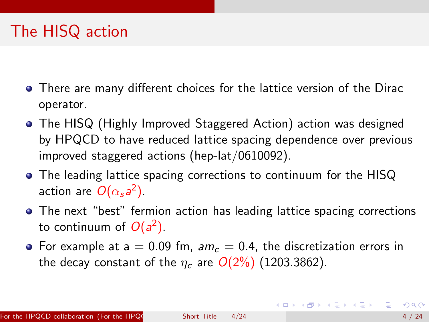# The HISQ action

- There are many different choices for the lattice version of the Dirac operator.
- The HISQ (Highly Improved Staggered Action) action was designed by HPQCD to have reduced lattice spacing dependence over previous improved staggered actions (hep-lat/0610092).
- The leading lattice spacing corrections to continuum for the HISQ action are  $O(\alpha_s a^2)$ .
- The next "best" fermion action has leading lattice spacing corrections to continuum of  $O(a^2)$ .
- For example at a = 0.09 fm,  $am_c = 0.4$ , the discretization errors in the decay constant of the  $\eta_c$  are  $O(2\%)$  (1203.3862).

<span id="page-3-0"></span>イロン イ部ン イヨン イヨン 一番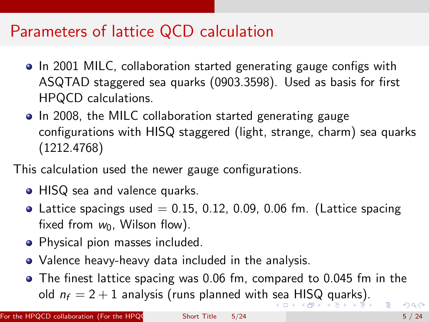## Parameters of lattice QCD calculation

- In 2001 MILC, collaboration started generating gauge configs with ASQTAD staggered sea quarks (0903.3598). Used as basis for first HPQCD calculations.
- In 2008, the MILC collaboration started generating gauge configurations with HISQ staggered (light, strange, charm) sea quarks (1212.4768)
- <span id="page-4-0"></span>This calculation used the newer gauge configurations.
	- HISQ sea and valence quarks.
	- Lattice spacings used  $= 0.15, 0.12, 0.09, 0.06$  fm. (Lattice spacing fixed from  $w_0$ , Wilson flow).
	- Physical pion masses included.
	- Valence heavy-heavy data included in the analysis.
	- The finest lattice spacing was 0.06 fm, compared to 0.045 fm in the old  $n_f = 2 + 1$  analysis (runs planned with [se](#page-3-0)a [H](#page-5-0)[I](#page-3-0)[S](#page-4-0)[Q](#page-5-0) [q](#page-0-0)[uar](#page-23-0)[ks](#page-0-0)[\).](#page-23-0)  $OQ$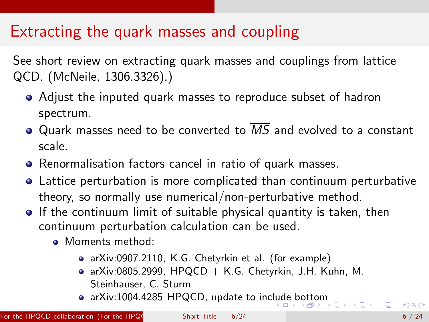# Extracting the quark masses and coupling

See short review on extracting quark masses and couplings from lattice QCD. (McNeile, 1306.3326).)

- Adjust the inputed quark masses to reproduce subset of hadron spectrum.
- Quark masses need to be converted to  $\overline{MS}$  and evolved to a constant scale.
- Renormalisation factors cancel in ratio of quark masses.
- Lattice perturbation is more complicated than continuum perturbative theory, so normally use numerical/non-perturbative method.
- <span id="page-5-0"></span>**If the continuum limit of suitable physical quantity is taken, then** continuum perturbation calculation can be used.
	- Moments method:
		- arXiv:0907.2110, K.G. Chetyrkin et al. (for example)
		- arXiv:0805.2999, HPQCD  $+$  K.G. Chetyrkin, J.H. Kuhn, M. Steinhauser, C. Sturm
		- a arXiv:1004.4285 HPQCD, update to inc[lud](#page-4-0)[e b](#page-6-0)[o](#page-4-0)[tto](#page-5-0)[m](#page-6-0)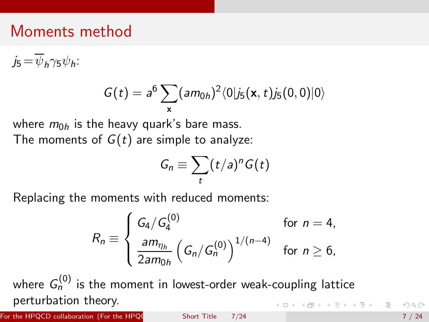### Moments method

 $j_5 = \overline{\psi}_h \gamma_5 \psi_h$ :

$$
G(t) = a^6 \sum_{\mathbf{x}} (am_{0h})^2 \langle 0|j_5(\mathbf{x}, t)j_5(0, 0)|0\rangle
$$

where  $m_{0h}$  is the heavy quark's bare mass. The moments of  $G(t)$  are simple to analyze:

<span id="page-6-0"></span>
$$
G_n \equiv \sum_t (t/a)^n G(t)
$$

Replacing the moments with reduced moments:

$$
R_n \equiv \begin{cases} G_4/G_4^{(0)} & \text{for } n = 4, \\ \frac{am_{\eta_h}}{2am_{0h}} \left( G_n/G_n^{(0)} \right)^{1/(n-4)} & \text{for } n \ge 6, \end{cases}
$$

where  $\,G^{(0)}_{n}\,$  is the moment in lowest-order weak-coupling lattice perturbation theory. **K ロ ▶ K 御 ▶ K 唐 ▶ K 唐 ▶ 『唐** 

For the HPQCD collaboration (For the HPQC  $\,$  Short Title  $\,$  7/24  $\,$  7/24  $\,$  7/24  $\,$  7/24  $\,$  7/24  $\,$  7/24  $\,$  7/24  $\,$  7/24  $\,$  7/24  $\,$  7/24  $\,$  7/24  $\,$  7/24  $\,$  7/24  $\,$  7/24  $\,$  7/24  $\,$  7/24  $\$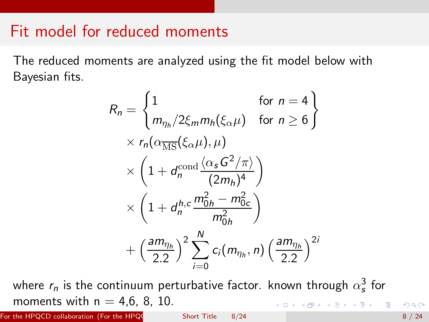#### Fit model for reduced moments

The reduced moments are analyzed using the fit model below with Bayesian fits.

$$
R_n = \begin{cases} 1 & \text{for } n = 4 \\ m_{\eta_h}/2\xi_m m_h(\xi_\alpha \mu) & \text{for } n \ge 6 \end{cases}
$$
  
×  $r_n(\alpha_{\overline{\text{MS}}}(\xi_\alpha \mu), \mu)$   
×  $\left(1 + d_n^{\text{cond}} \frac{\langle \alpha_s G^2 / \pi \rangle}{(2m_h)^4}\right)$   
×  $\left(1 + d_n^{h,c} \frac{m_{0h}^2 - m_{0c}^2}{m_{0h}^2}\right)$   
+  $\left(\frac{am_{\eta_h}}{2.2}\right)^2 \sum_{i=0}^N c_i(m_{\eta_h}, n) \left(\frac{am_{\eta_h}}{2.2}\right)^{2i}$ 

where  $r_n$  is the continuum perturbative factor. known through  $\alpha_{\sf s}^3$  for moments with  $n = 4,6, 8, 10$ . K ロ ▶ K @ ▶ K 할 ▶ K 할 ▶ . 할 → 9 Q @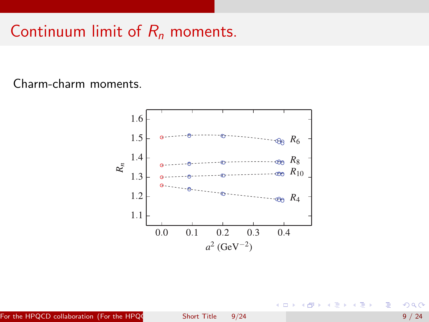# Continuum limit of  $R_n$  moments.

#### Charm-charm moments.



∍

Ξ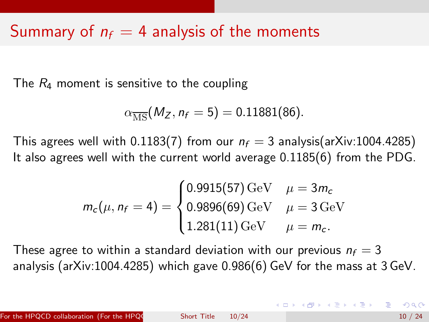## Summary of  $n_f = 4$  analysis of the moments

The  $R_4$  moment is sensitive to the coupling

$$
\alpha_{\overline{\rm MS}}(M_Z, n_f = 5) = 0.11881(86).
$$

This agrees well with 0.1183(7) from our  $n_f = 3$  analysis(arXiv:1004.4285) It also agrees well with the current world average 0.1185(6) from the PDG.

$$
m_c(\mu, n_f = 4) = \begin{cases} 0.9915(57) \,\text{GeV} & \mu = 3m_c \\ 0.9896(69) \,\text{GeV} & \mu = 3 \,\text{GeV} \\ 1.281(11) \,\text{GeV} & \mu = m_c. \end{cases}
$$

These agree to within a standard deviation with our previous  $n_f = 3$ analysis (arXiv:1004.4285) which gave 0.986(6) GeV for the mass at 3 GeV.

4 ロ ト 4 何 ト 4 ヨ ト 4 ヨ ト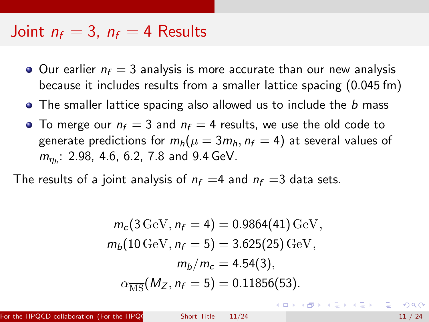#### Joint  $n_f = 3$ ,  $n_f = 4$  Results

- $\bullet$  Our earlier  $n_f = 3$  analysis is more accurate than our new analysis because it includes results from a smaller lattice spacing (0.045 fm)
- The smaller lattice spacing also allowed us to include the b mass
- To merge our  $n_f = 3$  and  $n_f = 4$  results, we use the old code to generate predictions for  $m_h(\mu = 3m_h, n_f = 4)$  at several values of  $m_{\eta_h}$ : 2.98, 4.6, 6.2, 7.8 and 9.4 GeV.

The results of a joint analysis of  $n_f = 4$  and  $n_f = 3$  data sets.

$$
m_c(3 \,\text{GeV}, n_f = 4) = 0.9864(41) \,\text{GeV},
$$

$$
m_b(10 \,\text{GeV}, n_f = 5) = 3.625(25) \,\text{GeV},
$$

$$
m_b/m_c = 4.54(3),
$$

$$
\alpha_{\overline{\text{MS}}}(M_Z, n_f = 5) = 0.11856(53).
$$

For the HPQCD collaboration (For the HPQC Short Title  $11/24$  11 / 24  $11/24$ 

イロト イ母 トイヨ トイヨ トー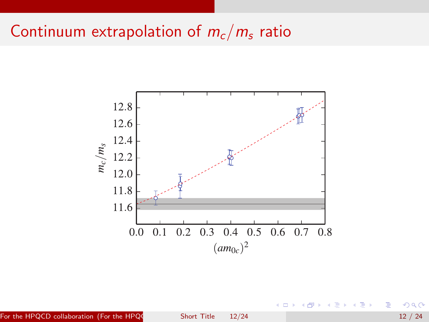## Continuum extrapolation of  $m_c/m_s$  ratio



For the HPQCD collaboration (For the HPQC Short Title  $12/24$  12 / 24 12 / 24

<span id="page-11-0"></span> $2Q$ 

目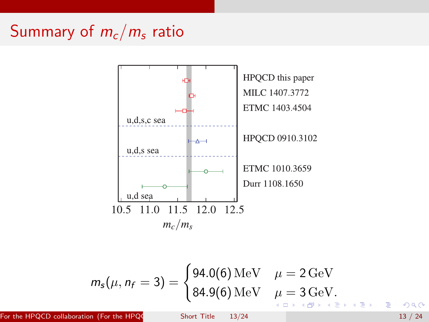# Summary of  $m_c/m_s$  ratio



$$
m_{s}(\mu, n_{f} = 3) = \begin{cases} 94.0(6) \,\text{MeV} & \mu = 2 \,\text{GeV} \\ 84.9(6) \,\text{MeV} & \mu = 3 \,\text{GeV}. \end{cases}
$$

For the HPQCD collaboration (For the HPQC Short Title  $13/24$  13 / 24

<span id="page-12-0"></span>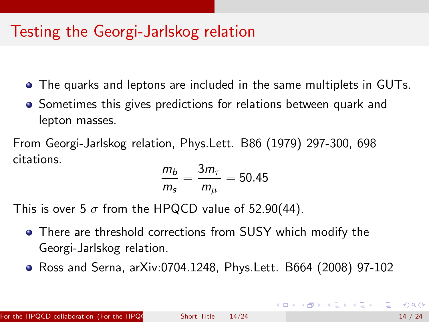## Testing the Georgi-Jarlskog relation

- The quarks and leptons are included in the same multiplets in GUTs.  $\bullet$
- Sometimes this gives predictions for relations between quark and lepton masses.

From Georgi-Jarlskog relation, Phys.Lett. B86 (1979) 297-300, 698 citations.

$$
\frac{m_b}{m_s} = \frac{3m_\tau}{m_\mu} = 50.45
$$

This is over 5  $\sigma$  from the HPQCD value of 52.90(44).

- There are threshold corrections from SUSY which modify the Georgi-Jarlskog relation.
- Ross and Serna, arXiv:0704.1248, Phys.Lett. B664 (2008) 97-102

<span id="page-13-0"></span>**K ロ ト K 伺 ト K ヨ ト K ヨ ト**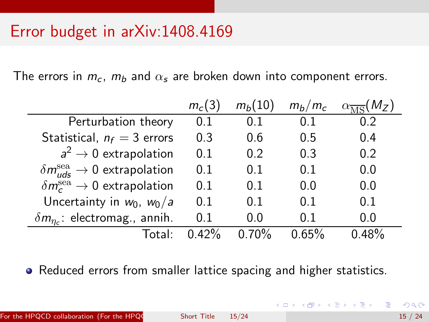## Error budget in arXiv:1408.4169

The errors in  $m_c$ ,  $m_b$  and  $\alpha_s$  are broken down into component errors.

|                                                        | $m_c(3)$ | $m_b(10)$       | $m_h/m_c$ | $\overline{K_{\text{TC}}}(M_Z)$ |  |
|--------------------------------------------------------|----------|-----------------|-----------|---------------------------------|--|
| Perturbation theory                                    | 0.1      | 0.1             | 0.1       | 0.2                             |  |
| Statistical, $n_f = 3$ errors                          | 0.3      | 0.6             | 0.5       | 0.4                             |  |
| $a^2 \rightarrow 0$ extrapolation                      | 0.1      | 0.2             | 0.3       | 0.2                             |  |
| $\delta m_{uds}^{\rm sea} \rightarrow 0$ extrapolation | 0.1      | 0.1             | 0.1       | 0.0                             |  |
| $\delta m_c^{\rm sea} \rightarrow 0$ extrapolation     | 0.1      | 0.1             | 0.0       | 0.0                             |  |
| Uncertainty in $w_0$ , $w_0/a$                         | 0.1      | 0.1             | 0.1       | 0.1                             |  |
| $\delta m_{\eta_c}$ : electromag., annih.              | 0.1      | 0.0             | 0.1       | 0.0                             |  |
| Total:                                                 | 0.42%    | $\sqrt{0.70\%}$ | $0.65\%$  | በ 48%                           |  |

• Reduced errors from smaller lattice spacing and higher statistics.

イロト イ団ト イヨト イヨト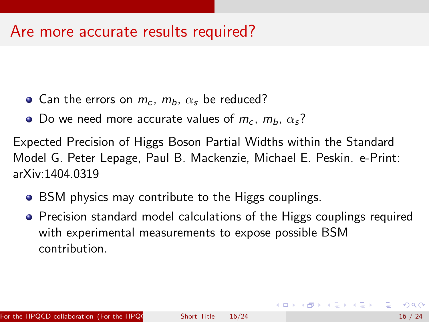#### Are more accurate results required?

- Can the errors on  $m_c$ ,  $m_b$ ,  $\alpha_s$  be reduced?
- Do we need more accurate values of  $m_c$ ,  $m_b$ ,  $\alpha_s$ ?

Expected Precision of Higgs Boson Partial Widths within the Standard Model G. Peter Lepage, Paul B. Mackenzie, Michael E. Peskin. e-Print: arXiv:1404.0319

- BSM physics may contribute to the Higgs couplings.
- Precision standard model calculations of the Higgs couplings required with experimental measurements to expose possible BSM contribution.

スター スライ スライ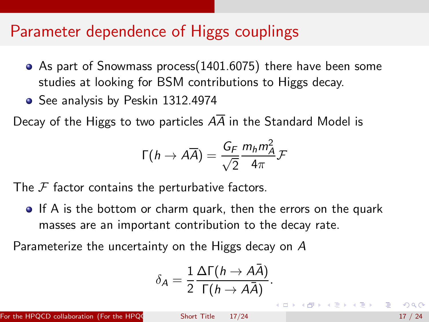#### Parameter dependence of Higgs couplings

- As part of Snowmass process(1401.6075) there have been some studies at looking for BSM contributions to Higgs decay.
- See analysis by Peskin 1312.4974

Decay of the Higgs to two particles  $A\overline{A}$  in the Standard Model is

$$
\Gamma(h \to A\overline{A}) = \frac{G_F}{\sqrt{2}} \frac{m_h m_A^2}{4\pi} \mathcal{F}
$$

The  $F$  factor contains the perturbative factors.

**If A** is the bottom or charm quark, then the errors on the quark masses are an important contribution to the decay rate.

Parameterize the uncertainty on the Higgs decay on A

$$
\delta_A = \frac{1}{2} \frac{\Delta \Gamma(h \to A\bar{A})}{\Gamma(h \to A\bar{A})}.
$$

For the HPQCD collaboration (For the HPQC Short Title  $17/24$  17 / 24

**K ロ ▶ | K 母 ▶ | K ヨ ▶ | K ヨ ▶**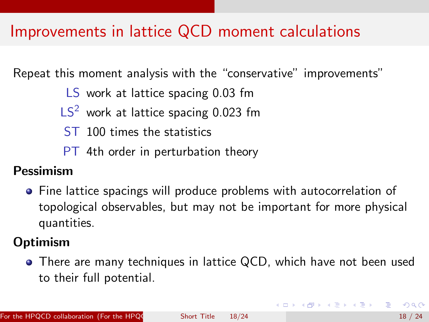# Improvements in lattice QCD moment calculations

Repeat this moment analysis with the "conservative" improvements"

LS work at lattice spacing 0.03 fm

- $LS<sup>2</sup>$  work at lattice spacing 0.023 fm
- ST 100 times the statistics
- PT 4th order in perturbation theory

#### Pessimism

**•** Fine lattice spacings will produce problems with autocorrelation of topological observables, but may not be important for more physical quantities.

#### **Optimism**

• There are many techniques in lattice QCD, which have not been used to their full potential.

イロメ イ部メ イヨメ イヨメー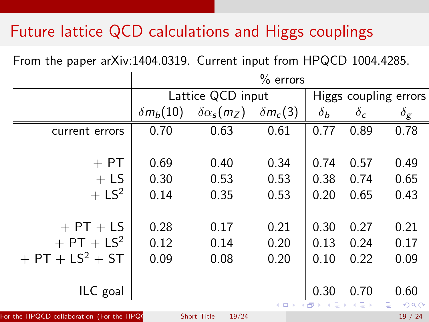# Future lattice QCD calculations and Higgs couplings

From the paper arXiv:1404.0319. Current input from HPQCD 1004.4285.

|                                                | $%$ errors        |                             |                 |            |               |                           |  |  |  |
|------------------------------------------------|-------------------|-----------------------------|-----------------|------------|---------------|---------------------------|--|--|--|
|                                                | Lattice QCD input | Higgs coupling errors       |                 |            |               |                           |  |  |  |
|                                                | $\delta m_b(10)$  | $\delta \alpha_{s}(m_{Z})$  | $\delta m_c(3)$ | $\delta_b$ | $\delta_{c}$  | $\delta_{\boldsymbol{g}}$ |  |  |  |
| current errors                                 | 0.70              | 0.63                        | 0.61            | 0.77       | 0.89          | 0.78                      |  |  |  |
|                                                |                   |                             |                 |            |               |                           |  |  |  |
| $+$ PT                                         | 0.69              | 0.40                        | 0.34            | 0.74       | 0.57          | 0.49                      |  |  |  |
| $+$ LS                                         | 0.30              | 0.53                        | 0.53            | 0.38       | 0.74          | 0.65                      |  |  |  |
| $+ LS2$                                        | 0.14              | 0.35                        | 0.53            | 0.20       | 0.65          | 0.43                      |  |  |  |
|                                                |                   |                             |                 |            |               |                           |  |  |  |
| $+$ PT $+$ LS                                  | 0.28              | 0.17                        | 0.21            | 0.30       | 0.27          | 0.21                      |  |  |  |
| $+$ PT + LS <sup>2</sup>                       | 0.12              | 0.14                        | 0.20            | 0.13       | 0.24          | 0.17                      |  |  |  |
| $+$ PT + LS <sup>2</sup> + ST                  | 0.09              | 0.08                        | 0.20            | 0.10       | 0.22          | 0.09                      |  |  |  |
|                                                |                   |                             |                 |            |               |                           |  |  |  |
| ILC goal                                       |                   |                             |                 | 0.30       | 0.70          | 0.60                      |  |  |  |
|                                                |                   |                             | 4 0 8           | 同<br>造     | $\Rightarrow$ | Þ<br>2Q                   |  |  |  |
| For the HPQCD collaboration (For the HPQ0 $\,$ |                   | <b>Short Title</b><br>19/24 |                 |            |               | 19/24                     |  |  |  |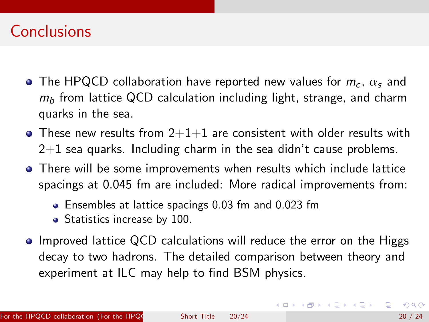## **Conclusions**

- The HPQCD collaboration have reported new values for  $m_c$ ,  $\alpha_s$  and  $m_b$  from lattice QCD calculation including light, strange, and charm quarks in the sea.
- $\bullet$  These new results from 2+1+1 are consistent with older results with  $2+1$  sea quarks. Including charm in the sea didn't cause problems.
- There will be some improvements when results which include lattice spacings at 0.045 fm are included: More radical improvements from:
	- Ensembles at lattice spacings 0.03 fm and 0.023 fm
	- Statistics increase by 100.
- Improved lattice QCD calculations will reduce the error on the Higgs decay to two hadrons. The detailed comparison between theory and experiment at ILC may help to find BSM physics.

G.

**K ロ ▶ | K 母 ▶ | K ヨ ▶ | K ヨ ▶**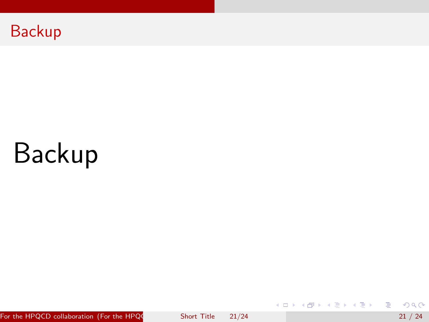

# Backup

For the HPQCD collaboration (For the HPQC Short Title  $21/24$  21 / 24 21 / 24

 $298$ 

重

メタトメ ミトメ ミト

4 0 8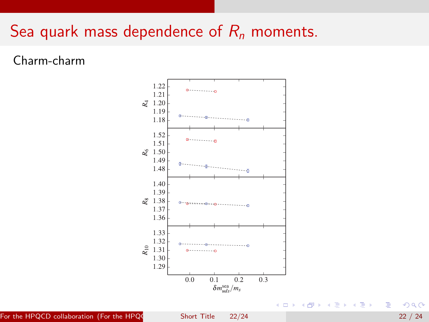## Sea quark mass dependence of  $R_n$  moments.

Charm-charm



For the HPQCD collaboration (For the HPQC Short Title  $22/24$  22 / 24  $22/24$ 

 $298$ 

重

メミメ メミメ

 $\mathcal{A}$  .  $\rightarrow$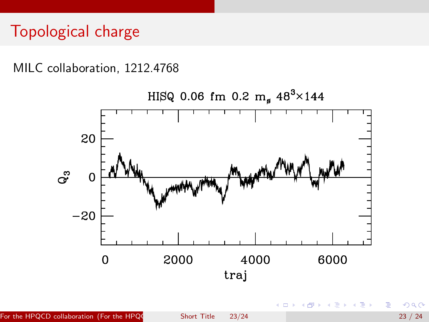# Topological charge

MILC collaboration, 1212.4768